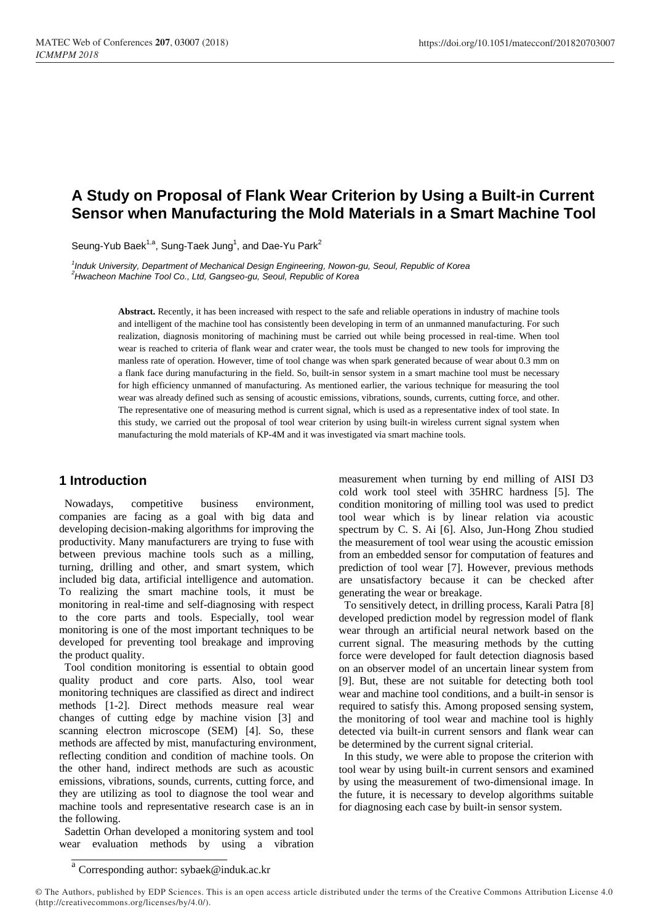# **A Study on Proposal of Flank Wear Criterion by Using a Built-in Current Sensor when Manufacturing the Mold Materials in a Smart Machine Tool**

Seung-Yub Baek<sup>1,a</sup>, Sung-Taek Jung<sup>1</sup>, and Dae-Yu Park<sup>2</sup>

*1 Induk University, Department of Mechanical Design Engineering, Nowon-gu, Seoul, Republic of Korea <sup>2</sup>Hwacheon Machine Tool Co., Ltd, Gangseo-gu, Seoul, Republic of Korea*

> **Abstract.** Recently, it has been increased with respect to the safe and reliable operations in industry of machine tools and intelligent of the machine tool has consistently been developing in term of an unmanned manufacturing. For such realization, diagnosis monitoring of machining must be carried out while being processed in real-time. When tool wear is reached to criteria of flank wear and crater wear, the tools must be changed to new tools for improving the manless rate of operation. However, time of tool change was when spark generated because of wear about 0.3 mm on a flank face during manufacturing in the field. So, built-in sensor system in a smart machine tool must be necessary for high efficiency unmanned of manufacturing. As mentioned earlier, the various technique for measuring the tool wear was already defined such as sensing of acoustic emissions, vibrations, sounds, currents, cutting force, and other. The representative one of measuring method is current signal, which is used as a representative index of tool state. In this study, we carried out the proposal of tool wear criterion by using built-in wireless current signal system when manufacturing the mold materials of KP-4M and it was investigated via smart machine tools.

### **1 Introduction**

Nowadays, competitive business environment, companies are facing as a goal with big data and developing decision-making algorithms for improving the productivity. Many manufacturers are trying to fuse with between previous machine tools such as a milling, turning, drilling and other, and smart system, which included big data, artificial intelligence and automation. To realizing the smart machine tools, it must be monitoring in real-time and self-diagnosing with respect to the core parts and tools. Especially, tool wear monitoring is one of the most important techniques to be developed for preventing tool breakage and improving the product quality.

Tool condition monitoring is essential to obtain good quality product and core parts. Also, tool wear monitoring techniques are classified as direct and indirect methods [1-2]. Direct methods measure real wear changes of cutting edge by machine vision [3] and scanning electron microscope (SEM) [4]. So, these methods are affected by mist, manufacturing environment, reflecting condition and condition of machine tools. On the other hand, indirect methods are such as acoustic emissions, vibrations, sounds, currents, cutting force, and they are utilizing as tool to diagnose the tool wear and machine tools and representative research case is an in the following.

Sadettin Orhan developed a monitoring system and tool wear evaluation methods by using a vibration

measurement when turning by end milling of AISI D3 cold work tool steel with 35HRC hardness [5]. The condition monitoring of milling tool was used to predict tool wear which is by linear relation via acoustic spectrum by C. S. Ai [6]. Also, Jun-Hong Zhou studied the measurement of tool wear using the acoustic emission from an embedded sensor for computation of features and prediction of tool wear [7]. However, previous methods are unsatisfactory because it can be checked after generating the wear or breakage.

To sensitively detect, in drilling process, Karali Patra [8] developed prediction model by regression model of flank wear through an artificial neural network based on the current signal. The measuring methods by the cutting force were developed for fault detection diagnosis based on an observer model of an uncertain linear system from [9]. But, these are not suitable for detecting both tool wear and machine tool conditions, and a built-in sensor is required to satisfy this. Among proposed sensing system, the monitoring of tool wear and machine tool is highly detected via built-in current sensors and flank wear can be determined by the current signal criterial.

In this study, we were able to propose the criterion with tool wear by using built-in current sensors and examined by using the measurement of two-dimensional image. In the future, it is necessary to develop algorithms suitable for diagnosing each case by built-in sensor system.

a Corresponding author: sybaek@induk.ac.kr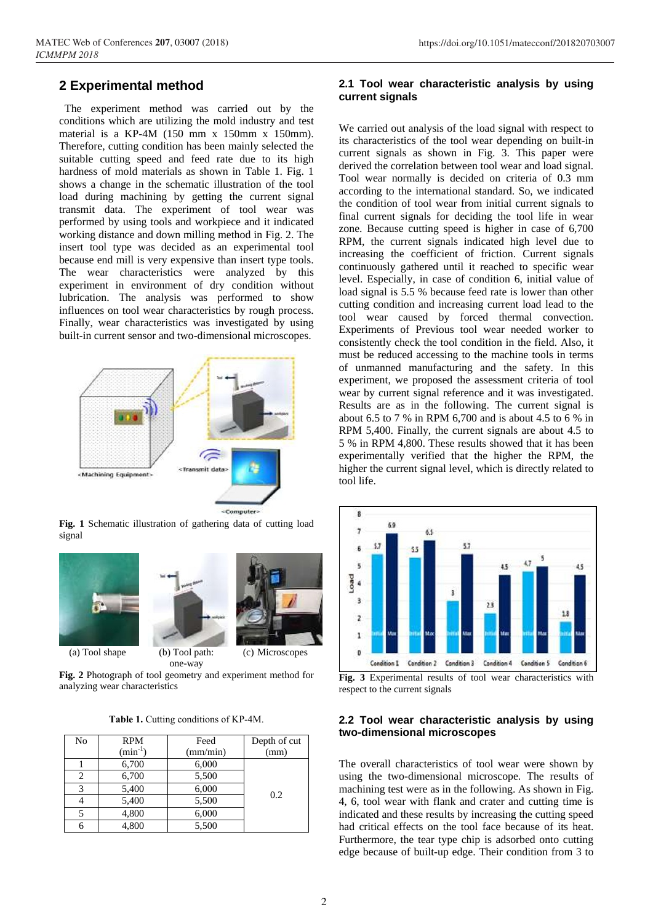### **2 Experimental method**

The experiment method was carried out by the conditions which are utilizing the mold industry and test material is a KP-4M (150 mm x 150mm x 150mm). Therefore, cutting condition has been mainly selected the suitable cutting speed and feed rate due to its high hardness of mold materials as shown in Table 1. Fig. 1 shows a change in the schematic illustration of the tool load during machining by getting the current signal transmit data. The experiment of tool wear was performed by using tools and workpiece and it indicated working distance and down milling method in Fig. 2. The insert tool type was decided as an experimental tool because end mill is very expensive than insert type tools. The wear characteristics were analyzed by this experiment in environment of dry condition without lubrication. The analysis was performed to show influences on tool wear characteristics by rough process. Finally, wear characteristics was investigated by using built-in current sensor and two-dimensional microscopes.



**Fig. 1** Schematic illustration of gathering data of cutting load signal



(a) Tool shape (b) Tool path:



(c) Microscopes

one-way **Fig. 2** Photograph of tool geometry and experiment method for analyzing wear characteristics

**Table 1.** Cutting conditions of KP-4M.

| No | <b>RPM</b><br>$(min^{-1})$ | Feed<br>(mm/min) | Depth of cut<br>(mm) |
|----|----------------------------|------------------|----------------------|
|    |                            |                  |                      |
|    | 6,700                      | 6,000            |                      |
| 2  | 6,700                      | 5,500            |                      |
| 3  | 5,400                      | 6,000            | 0.2                  |
|    | 5,400                      | 5,500            |                      |
|    | 4,800                      | 6,000            |                      |
|    | 4,800                      | 5,500            |                      |

#### **2.1 Tool wear characteristic analysis by using current signals**

We carried out analysis of the load signal with respect to its characteristics of the tool wear depending on built-in current signals as shown in Fig. 3. This paper were derived the correlation between tool wear and load signal. Tool wear normally is decided on criteria of 0.3 mm according to the international standard. So, we indicated the condition of tool wear from initial current signals to final current signals for deciding the tool life in wear zone. Because cutting speed is higher in case of 6,700 RPM, the current signals indicated high level due to increasing the coefficient of friction. Current signals continuously gathered until it reached to specific wear level. Especially, in case of condition 6, initial value of load signal is 5.5 % because feed rate is lower than other cutting condition and increasing current load lead to the tool wear caused by forced thermal convection. Experiments of Previous tool wear needed worker to consistently check the tool condition in the field. Also, it must be reduced accessing to the machine tools in terms of unmanned manufacturing and the safety. In this experiment, we proposed the assessment criteria of tool wear by current signal reference and it was investigated. Results are as in the following. The current signal is about 6.5 to 7 % in RPM 6,700 and is about 4.5 to 6 % in RPM 5,400. Finally, the current signals are about 4.5 to 5 % in RPM 4,800. These results showed that it has been experimentally verified that the higher the RPM, the higher the current signal level, which is directly related to tool life.



**Fig. 3** Experimental results of tool wear characteristics with respect to the current signals

#### **2.2 Tool wear characteristic analysis by using two-dimensional microscopes**

The overall characteristics of tool wear were shown by using the two-dimensional microscope. The results of machining test were as in the following. As shown in Fig. 4, 6, tool wear with flank and crater and cutting time is indicated and these results by increasing the cutting speed had critical effects on the tool face because of its heat. Furthermore, the tear type chip is adsorbed onto cutting edge because of built-up edge. Their condition from 3 to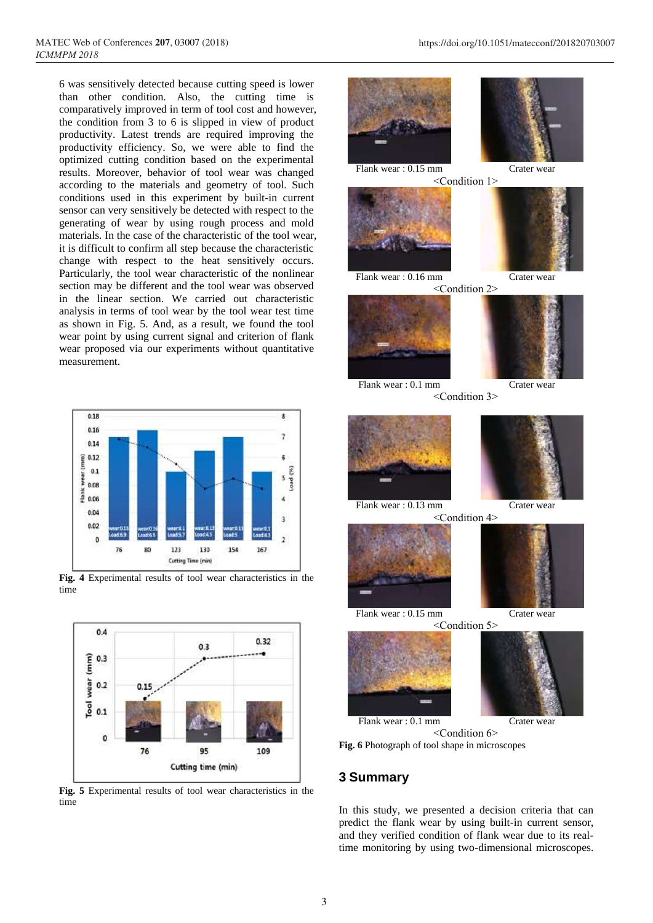6 was sensitively detected because cutting speed is lower than other condition. Also, the cutting time is comparatively improved in term of tool cost and however, the condition from 3 to 6 is slipped in view of product productivity. Latest trends are required improving the productivity efficiency. So, we were able to find the optimized cutting condition based on the experimental results. Moreover, behavior of tool wear was changed according to the materials and geometry of tool. Such conditions used in this experiment by built-in current sensor can very sensitively be detected with respect to the generating of wear by using rough process and mold materials. In the case of the characteristic of the tool wear, it is difficult to confirm all step because the characteristic change with respect to the heat sensitively occurs. Particularly, the tool wear characteristic of the nonlinear section may be different and the tool wear was observed in the linear section. We carried out characteristic analysis in terms of tool wear by the tool wear test time as shown in Fig. 5. And, as a result, we found the tool wear point by using current signal and criterion of flank wear proposed via our experiments without quantitative measurement.



**Fig. 4** Experimental results of tool wear characteristics in the time



**Fig. 5** Experimental results of tool wear characteristics in the time



### **3 Summary**

In this study, we presented a decision criteria that can predict the flank wear by using built-in current sensor, and they verified condition of flank wear due to its realtime monitoring by using two-dimensional microscopes.